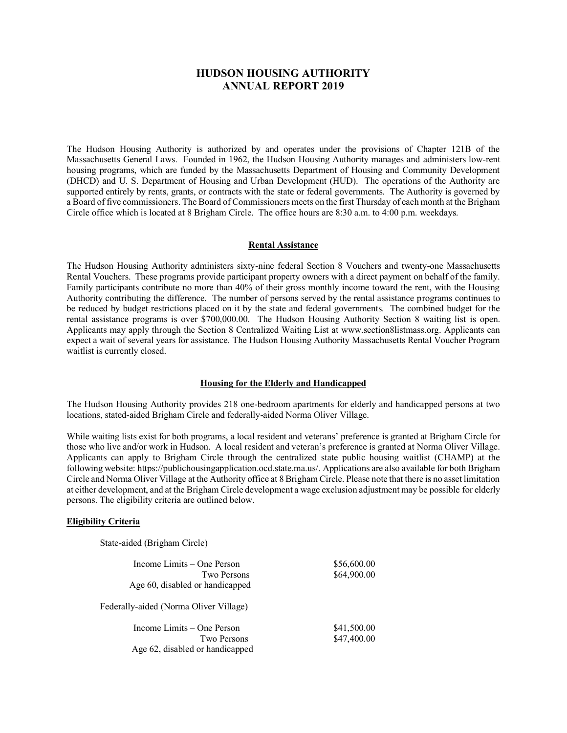# **HUDSON HOUSING AUTHORITY ANNUAL REPORT 2019**

The Hudson Housing Authority is authorized by and operates under the provisions of Chapter 121B of the Massachusetts General Laws. Founded in 1962, the Hudson Housing Authority manages and administers low-rent housing programs, which are funded by the Massachusetts Department of Housing and Community Development (DHCD) and U. S. Department of Housing and Urban Development (HUD). The operations of the Authority are supported entirely by rents, grants, or contracts with the state or federal governments. The Authority is governed by a Board of five commissioners. The Board of Commissioners meets on the first Thursday of each month at the Brigham Circle office which is located at 8 Brigham Circle. The office hours are 8:30 a.m. to 4:00 p.m. weekdays.

#### **Rental Assistance**

The Hudson Housing Authority administers sixty-nine federal Section 8 Vouchers and twenty-one Massachusetts Rental Vouchers. These programs provide participant property owners with a direct payment on behalf of the family. Family participants contribute no more than 40% of their gross monthly income toward the rent, with the Housing Authority contributing the difference. The number of persons served by the rental assistance programs continues to be reduced by budget restrictions placed on it by the state and federal governments. The combined budget for the rental assistance programs is over \$700,000.00. The Hudson Housing Authority Section 8 waiting list is open. Applicants may apply through the Section 8 Centralized Waiting List at www.section8listmass.org. Applicants can expect a wait of several years for assistance. The Hudson Housing Authority Massachusetts Rental Voucher Program waitlist is currently closed.

## **Housing for the Elderly and Handicapped**

The Hudson Housing Authority provides 218 one-bedroom apartments for elderly and handicapped persons at two locations, stated-aided Brigham Circle and federally-aided Norma Oliver Village.

While waiting lists exist for both programs, a local resident and veterans' preference is granted at Brigham Circle for those who live and/or work in Hudson. A local resident and veteran's preference is granted at Norma Oliver Village. Applicants can apply to Brigham Circle through the centralized state public housing waitlist (CHAMP) at the following website: https://publichousingapplication.ocd.state.ma.us/. Applications are also available for both Brigham Circle and Norma Oliver Village at the Authority office at 8 Brigham Circle. Please note that there is no asset limitation at either development, and at the Brigham Circle development a wage exclusion adjustment may be possible for elderly persons. The eligibility criteria are outlined below.

#### **Eligibility Criteria**

State-aided (Brigham Circle)

| Income Limits $-$ One Person           | \$56,600.00 |  |
|----------------------------------------|-------------|--|
| Two Persons                            | \$64,900.00 |  |
| Age 60, disabled or handicapped        |             |  |
| Federally-aided (Norma Oliver Village) |             |  |
| Income Limits $-$ One Person           | \$41,500.00 |  |
| Two Persons                            | \$47,400.00 |  |
| Age 62, disabled or handicapped        |             |  |